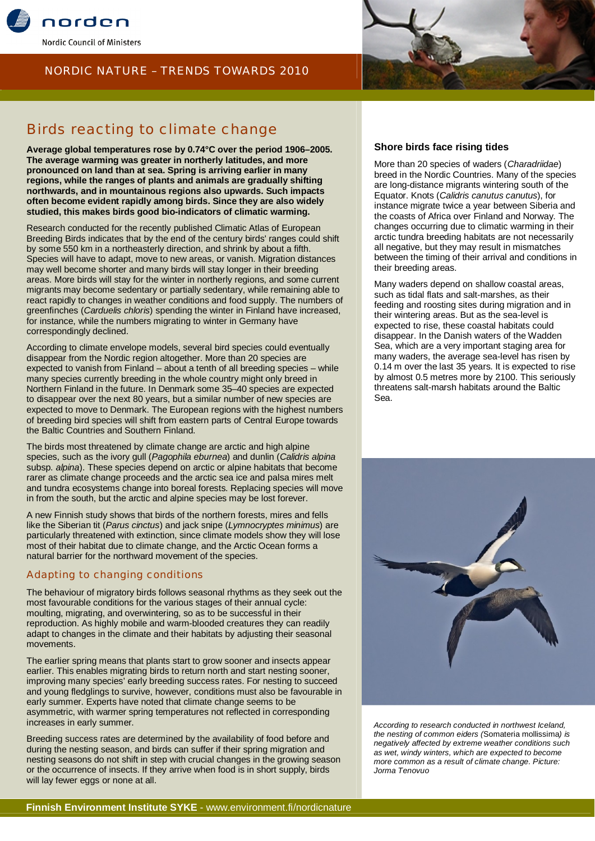





# Birds reacting to climate change

**Average global temperatures rose by 0.74°C over the period 1906–2005. The average warming was greater in northerly latitudes, and more pronounced on land than at sea. Spring is arriving earlier in many regions, while the ranges of plants and animals are gradually shifting northwards, and in mountainous regions also upwards. Such impacts often become evident rapidly among birds. Since they are also widely studied, this makes birds good bio-indicators of climatic warming.**

Research conducted for the recently published Climatic Atlas of European Breeding Birds indicates that by the end of the century birds' ranges could shift by some 550 km in a northeasterly direction, and shrink by about a fifth. Species will have to adapt, move to new areas, or vanish. Migration distances may well become shorter and many birds will stay longer in their breeding areas. More birds will stay for the winter in northerly regions, and some current migrants may become sedentary or partially sedentary, while remaining able to react rapidly to changes in weather conditions and food supply. The numbers of greenfinches (*Carduelis chloris*) spending the winter in Finland have increased, for instance, while the numbers migrating to winter in Germany have correspondingly declined.

According to climate envelope models, several bird species could eventually disappear from the Nordic region altogether. More than 20 species are expected to vanish from Finland – about a tenth of all breeding species – while many species currently breeding in the whole country might only breed in Northern Finland in the future. In Denmark some 35–40 species are expected to disappear over the next 80 years, but a similar number of new species are expected to move to Denmark. The European regions with the highest numbers of breeding bird species will shift from eastern parts of Central Europe towards the Baltic Countries and Southern Finland.

The birds most threatened by climate change are arctic and high alpine species, such as the ivory gull (*Pagophila eburnea*) and dunlin (*Calidris alpina* subsp. *alpina*). These species depend on arctic or alpine habitats that become rarer as climate change proceeds and the arctic sea ice and palsa mires melt and tundra ecosystems change into boreal forests. Replacing species will move in from the south, but the arctic and alpine species may be lost forever.

A new Finnish study shows that birds of the northern forests, mires and fells like the Siberian tit (*Parus cinctus*) and jack snipe (*Lymnocryptes minimus*) are particularly threatened with extinction, since climate models show they will lose most of their habitat due to climate change, and the Arctic Ocean forms a natural barrier for the northward movement of the species.

# Adapting to changing conditions

The behaviour of migratory birds follows seasonal rhythms as they seek out the most favourable conditions for the various stages of their annual cycle: moulting, migrating, and overwintering, so as to be successful in their reproduction. As highly mobile and warm-blooded creatures they can readily adapt to changes in the climate and their habitats by adjusting their seasonal movements.

The earlier spring means that plants start to grow sooner and insects appear earlier. This enables migrating birds to return north and start nesting sooner, improving many species' early breeding success rates. For nesting to succeed and young fledglings to survive, however, conditions must also be favourable in early summer. Experts have noted that climate change seems to be asymmetric, with warmer spring temperatures not reflected in corresponding increases in early summer.

Breeding success rates are determined by the availability of food before and during the nesting season, and birds can suffer if their spring migration and nesting seasons do not shift in step with crucial changes in the growing season or the occurrence of insects. If they arrive when food is in short supply, birds will lay fewer eggs or none at all.

#### **Shore birds face rising tides**

More than 20 species of waders (*Charadriidae*) breed in the Nordic Countries. Many of the species are long-distance migrants wintering south of the Equator. Knots (*Calidris canutus canutus*), for instance migrate twice a year between Siberia and the coasts of Africa over Finland and Norway. The changes occurring due to climatic warming in their arctic tundra breeding habitats are not necessarily all negative, but they may result in mismatches between the timing of their arrival and conditions in their breeding areas.

Many waders depend on shallow coastal areas, such as tidal flats and salt-marshes, as their feeding and roosting sites during migration and in their wintering areas. But as the sea-level is expected to rise, these coastal habitats could disappear. In the Danish waters of the Wadden Sea, which are a very important staging area for many waders, the average sea-level has risen by 0.14 m over the last 35 years. It is expected to rise by almost 0.5 metres more by 2100. This seriously threatens salt-marsh habitats around the Baltic Sea.



*According to research conducted in northwest Iceland, the nesting of common eiders (*Somateria mollissima*) is negatively affected by extreme weather conditions such as wet, windy winters, which are expected to become more common as a result of climate change. Picture: Jorma Tenovuo*